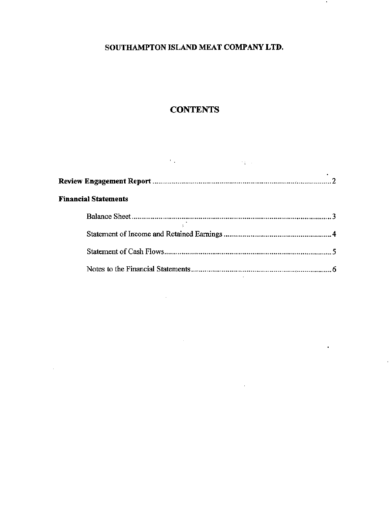$\bullet$ 

 $\hat{\textbf{z}}$ 

à.

# **CONTENTS**

| <b>Financial Statements</b> |  |
|-----------------------------|--|
|                             |  |
|                             |  |
|                             |  |
|                             |  |

 $\sim 10^{11}$ 

 $\sim 10^{-1}$ 

 $\sim$   $\sim$ 

 $\mathcal{L}^{\text{max}}_{\text{max}}$ 

 $\mathcal{O}(\mathcal{O}_\mathcal{O})$  . The set of  $\mathcal{O}_\mathcal{O}(\mathcal{O}_\mathcal{O})$  is a set of  $\mathcal{O}_\mathcal{O}(\mathcal{O}_\mathcal{O})$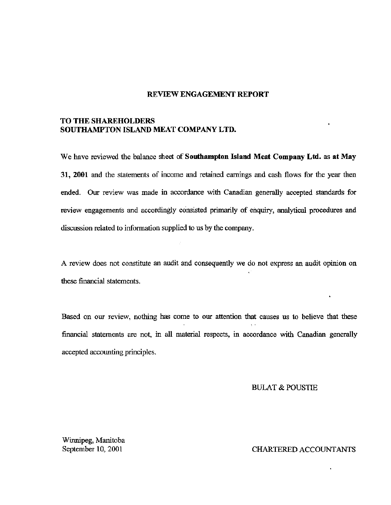#### REVIEW ENGAGEMENT REPORT

#### TO THE SHAREHOLDERS SOUTHAMPTON ISLAND MEAT COMPANY LTD.

We have reviewed the balance sheet of **Southampton Island Meat Company Ltd. as at May**  31, **2001** and the statements of income and retained earnings and cash flows for the year then ended. Our review was made in accordance with Canadian generally accepted standards for review engagements and accordingly consisted primarily of enquiry, analytical procedures and discussion related to information supplied to us by the company.

A review does not constitute an audit and consequently we do not express an audit opinion on these financial statements.

Based on our review, nothing has come to our attention that causes us to believe that these  $\sim$ financial statements are not, in all material respects, in accordance with Canadian generally accepted accounting principles.

BULAT & POUSTIE

Winnipeg, Manitoba September 10, 2001

CHARTERED ACCOUNTANTS

 $\ddot{\phantom{a}}$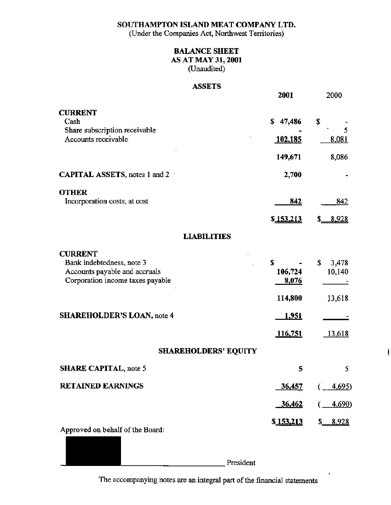(Under the Companies Act, Northwest Territories)

| <b>BALANCE SHEET</b>      |
|---------------------------|
| <b>AS AT MAY 31, 2001</b> |
| (Unaudited)               |

# ASSETS

|                                      | <b>2001</b>       | 2000                |
|--------------------------------------|-------------------|---------------------|
| <b>CURRENT</b>                       |                   |                     |
| Cash                                 | \$47,486          | \$                  |
| Share subscription receivable        |                   | 5                   |
| Accounts receivable                  | <u>102,185</u>    | 8,081               |
|                                      | 149,671           | 8,086               |
| <b>CAPITAL ASSETS, notes 1 and 2</b> | 2,700             |                     |
| <b>OTHER</b>                         |                   |                     |
| Incorporation costs, at cost         | <u>842</u>        | 842                 |
|                                      | \$153,213         | <u>8,928</u><br>\$_ |
| <b>LIABILITIES</b>                   |                   |                     |
| <b>CURRENT</b>                       |                   |                     |
| Bank indebtedness, note 3            | S                 | \$<br>3,478         |
| Accounts payable and accruals        | 106,724           | 10,140              |
| Corporation income taxes payable     | 8,076             |                     |
|                                      | 114,800           | 13,618              |
| <b>SHAREHOLDER'S LOAN, note 4</b>    | <u>1,951</u>      |                     |
|                                      | 116,751           | <u>13,618</u>       |
| <b>SHAREHOLDERS' EQUITY</b>          |                   |                     |
| <b>SHARE CAPITAL, note 5</b>         | 5                 | 5                   |
| <b>RETAINED EARNINGS</b>             | 36,457            | <u>4,695</u> )      |
|                                      | 36,462            | <u>4,690</u> )      |
|                                      |                   |                     |
| Approved on behalf of the Board:     | \$ <u>153,213</u> | <u>8,928</u>        |

President

l.

The accompanying notes are an integral part of the financial statements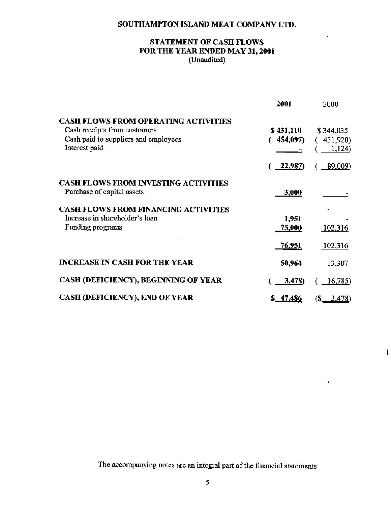.

f

 $\tilde{\phantom{a}}$ 

## STATEMENT OF CASH FLOWS FOR THE YEAR ENDED MAY 31, 2001 (Unaudited)

|                                                                           | 2001          | 2000          |
|---------------------------------------------------------------------------|---------------|---------------|
| <b>CASH FLOWS FROM OPERATING ACTIVITIES</b>                               |               |               |
| Cash receipts from customers                                              | \$431,110     | \$344,035     |
| Cash paid to suppliers and employees                                      | 454,097)      | (431,920)     |
| Interest paid                                                             |               | 1,124)        |
|                                                                           | $-22,987$     | <u>89,009</u> |
| <b>CASH FLOWS FROM INVESTING ACTIVITIES</b><br>Purchase of capital assets | 3,000         |               |
| <b>CASH FLOWS FROM FINANCING ACTIVITIES</b>                               |               |               |
| Increase in shareholder's loan                                            | 1,951         |               |
| Funding programs                                                          | 75,000        | 102,316       |
|                                                                           | <u>76,951</u> | 102,316       |
| <b>INCREASE IN CASH FOR THE YEAR</b>                                      | 50,964        | 13,307        |
| CASH (DEFICIENCY), BEGINNING OF YEAR                                      | <u>3,478)</u> | 16,785)       |
| <b>CASH (DEFICIENCY), END OF YEAR</b>                                     | \$ 47,486     | $(\$ 3,478)$  |

The accompanying notes are an integral part of the financial statements